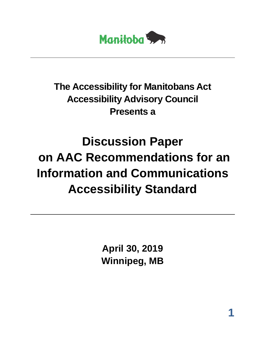

## **The Accessibility for Manitobans Act Accessibility Advisory Council Presents a**

# **Discussion Paper on AAC Recommendations for an Information and Communications Accessibility Standard**

**April 30, 2019 Winnipeg, MB**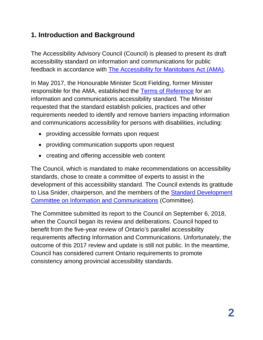## **1. Introduction and Background**

The Accessibility Advisory Council (Council) is pleased to present its draft accessibility standard on information and communications for public feedback in accordance with [The Accessibility for Manitobans Act \(AMA\).](https://web2.gov.mb.ca/laws/statutes/ccsm/a001-7e.php)

In May 2017, the Honourable Minister Scott Fielding, former Minister responsible for the AMA, established the [Terms of Reference](http://accessibilitymb.ca/pdf/terms-of-ref-info-and-comms.docx) for an [information and communications](http://accessibilitymb.ca/pdf/terms-of-ref-info-and-comms.docx) accessibility standard. The Minister requested that the standard establish policies, practices and other requirements needed to identify and remove barriers impacting information and communications accessibility for persons with disabilities, including:

- providing accessible formats upon request
- providing communication supports upon request
- creating and offering accessible web content

The Council, which is mandated to make recommendations on accessibility standards, chose to create a committee of experts to assist in the development of this accessibility standard. The Council extends its gratitude to Lisa Snider, chairperson, and the members of the [Standard Development](http://www.accessibilitymb.ca/pdf/information-and-communications-commitee-members.docx)  [Committee on Information and Communications](http://www.accessibilitymb.ca/pdf/information-and-communications-commitee-members.docx) (Committee).

The Committee submitted its report to the Council on September 6, 2018, when the Council began its review and deliberations. Council hoped to benefit from the five-year review of Ontario's parallel accessibility requirements affecting Information and Communications. Unfortunately, the outcome of this 2017 review and update is still not public. In the meantime, Council has considered current Ontario requirements to promote consistency among provincial accessibility standards.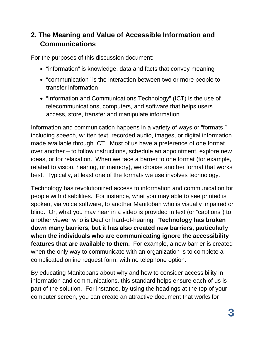## **2. The Meaning and Value of Accessible Information and Communications**

For the purposes of this discussion document:

- "information" is knowledge, data and facts that convey meaning
- "communication" is the interaction between two or more people to transfer information
- "Information and Communications Technology" (ICT) is the use of telecommunications, computers, and software that helps users access, store, transfer and manipulate information

Information and communication happens in a variety of ways or "formats," including speech, written text, recorded audio, images, or digital information made available through ICT. Most of us have a preference of one format over another – to follow instructions, schedule an appointment, explore new ideas, or for relaxation. When we face a barrier to one format (for example, related to vision, hearing, or memory), we choose another format that works best. Typically, at least one of the formats we use involves technology.

Technology has revolutionized access to information and communication for people with disabilities. For instance, what you may able to see printed is spoken, via voice software, to another Manitoban who is visually impaired or blind. Or, what you may hear in a video is provided in text (or "captions") to another viewer who is Deaf or hard-of-hearing. **Technology has broken down many barriers, but it has also created new barriers, particularly when the individuals who are communicating ignore the accessibility features that are available to them.** For example, a new barrier is created when the only way to communicate with an organization is to complete a complicated online request form, with no telephone option.

By educating Manitobans about why and how to consider accessibility in information and communications, this standard helps ensure each of us is part of the solution. For instance, by using the headings at the top of your computer screen, you can create an attractive document that works for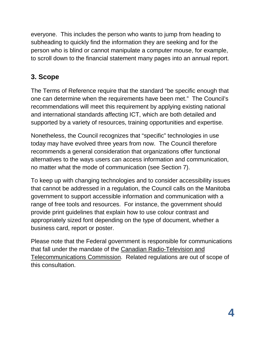everyone. This includes the person who wants to jump from heading to subheading to quickly find the information they are seeking and for the person who is blind or cannot manipulate a computer mouse, for example, to scroll down to the financial statement many pages into an annual report.

## **3. Scope**

The Terms of Reference require that the standard "be specific enough that one can determine when the requirements have been met." The Council's recommendations will meet this requirement by applying existing national and international standards affecting ICT, which are both detailed and supported by a variety of resources, training opportunities and expertise.

Nonetheless, the Council recognizes that "specific" technologies in use today may have evolved three years from now. The Council therefore recommends a general consideration that organizations offer functional alternatives to the ways users can access information and communication, no matter what the mode of communication (see Section 7).

To keep up with changing technologies and to consider accessibility issues that cannot be addressed in a regulation, the Council calls on the Manitoba government to support accessible information and communication with a range of free tools and resources. For instance, the government should provide print guidelines that explain how to use colour contrast and appropriately sized font depending on the type of document, whether a business card, report or poster.

Please note that the Federal government is responsible for communications that fall under the mandate of the [Canadian Radio-Television and](https://crtc.gc.ca/eng/home-accueil.htm)  [Telecommunications Commission.](https://crtc.gc.ca/eng/home-accueil.htm) Related regulations are out of scope of this consultation.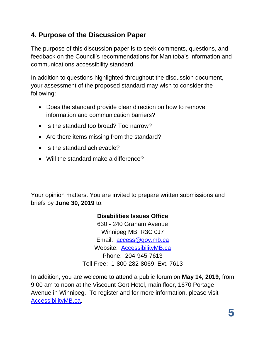## **4. Purpose of the Discussion Paper**

The purpose of this discussion paper is to seek comments, questions, and feedback on the Council's recommendations for Manitoba's information and communications accessibility standard.

In addition to questions highlighted throughout the discussion document, your assessment of the proposed standard may wish to consider the following:

- Does the standard provide clear direction on how to remove information and communication barriers?
- Is the standard too broad? Too narrow?
- Are there items missing from the standard?
- Is the standard achievable?
- Will the standard make a difference?

Your opinion matters. You are invited to prepare written submissions and briefs by **June 30, 2019** to:

#### **Disabilities Issues Office**

630 - 240 Graham Avenue Winnipeg MB R3C 0J7 Email: access@gov.mb.ca Website: [AccessibilityMB.ca](http://www.accessibilitymb.ca/) Phone: 204-945-7613 Toll Free: 1-800-282-8069, Ext. 7613

In addition, you are welcome to attend a public forum on **May 14, 2019**, from 9:00 am to noon at the Viscount Gort Hotel, main floor, 1670 Portage Avenue in Winnipeg. To register and for more information, please visit [AccessibilityMB.ca.](http://accessibilitymb.ca/)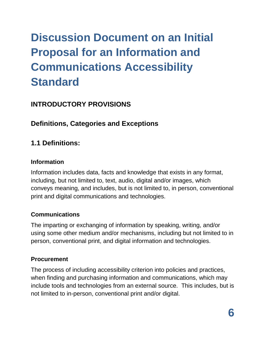## **Discussion Document on an Initial Proposal for an Information and Communications Accessibility Standard**

## **INTRODUCTORY PROVISIONS**

## **Definitions, Categories and Exceptions**

## **1.1 Definitions:**

#### **Information**

Information includes data, facts and knowledge that exists in any format, including, but not limited to, text, audio, digital and/or images, which conveys meaning, and includes, but is not limited to, in person, conventional print and digital communications and technologies.

### **Communications**

The imparting or exchanging of information by speaking, writing, and/or using some other medium and/or mechanisms, including but not limited to in person, conventional print, and digital information and technologies.

### **Procurement**

The process of including accessibility criterion into policies and practices, when finding and purchasing information and communications, which may include tools and technologies from an external source. This includes, but is not limited to in-person, conventional print and/or digital.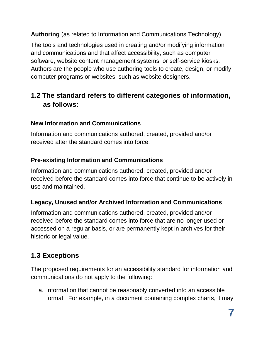**Authoring** (as related to Information and Communications Technology)

The tools and technologies used in creating and/or modifying information and communications and that affect accessibility, such as computer software, website content management systems, or self-service kiosks. Authors are the people who use authoring tools to create, design, or modify computer programs or websites, such as website designers.

## **1.2 The standard refers to different categories of information, as follows:**

## **New Information and Communications**

Information and communications authored, created, provided and/or received after the standard comes into force.

## **Pre-existing Information and Communications**

Information and communications authored, created, provided and/or received before the standard comes into force that continue to be actively in use and maintained.

## **Legacy, Unused and/or Archived Information and Communications**

Information and communications authored, created, provided and/or received before the standard comes into force that are no longer used or accessed on a regular basis, or are permanently kept in archives for their historic or legal value.

## **1.3 Exceptions**

The proposed requirements for an accessibility standard for information and communications do not apply to the following:

a. Information that cannot be reasonably converted into an accessible format. For example, in a document containing complex charts, it may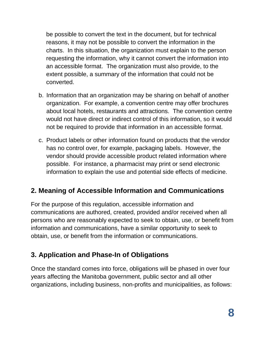be possible to convert the text in the document, but for technical reasons, it may not be possible to convert the information in the charts. In this situation, the organization must explain to the person requesting the information, why it cannot convert the information into an accessible format. The organization must also provide, to the extent possible, a summary of the information that could not be converted.

- b. Information that an organization may be sharing on behalf of another organization. For example, a convention centre may offer brochures about local hotels, restaurants and attractions. The convention centre would not have direct or indirect control of this information, so it would not be required to provide that information in an accessible format.
- c. Product labels or other information found on products that the vendor has no control over, for example, packaging labels. However, the vendor should provide accessible product related information where possible. For instance, a pharmacist may print or send electronic information to explain the use and potential side effects of medicine.

## **2. Meaning of Accessible Information and Communications**

For the purpose of this regulation, accessible information and communications are authored, created, provided and/or received when all persons who are reasonably expected to seek to obtain, use, or benefit from information and communications, have a similar opportunity to seek to obtain, use, or benefit from the information or communications.

## **3. Application and Phase-In of Obligations**

Once the standard comes into force, obligations will be phased in over four years affecting the Manitoba government, public sector and all other organizations, including business, non-profits and municipalities, as follows: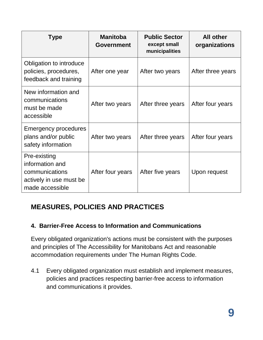| <b>Type</b>                                                                                     | <b>Manitoba</b><br><b>Government</b> | <b>Public Sector</b><br>except small<br>municipalities | <b>All other</b><br>organizations |
|-------------------------------------------------------------------------------------------------|--------------------------------------|--------------------------------------------------------|-----------------------------------|
| Obligation to introduce<br>policies, procedures,<br>feedback and training                       | After one year                       | After two years                                        | After three years                 |
| New information and<br>communications<br>must be made<br>accessible                             | After two years                      | After three years                                      | After four years                  |
| Emergency procedures<br>plans and/or public<br>safety information                               | After two years                      | After three years                                      | After four years                  |
| Pre-existing<br>information and<br>communications<br>actively in use must be<br>made accessible | After four years                     | After five years                                       | Upon request                      |

## **MEASURES, POLICIES AND PRACTICES**

## **4. Barrier-Free Access to Information and Communications**

Every obligated organization's actions must be consistent with the purposes and principles of The Accessibility for Manitobans Act and reasonable accommodation requirements under The Human Rights Code.

4.1 Every obligated organization must establish and implement measures, policies and practices respecting barrier-free access to information and communications it provides.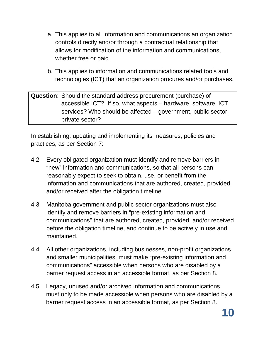- a. This applies to all information and communications an organization controls directly and/or through a contractual relationship that allows for modification of the information and communications, whether free or paid.
- b. This applies to information and communications related tools and technologies (ICT) that an organization procures and/or purchases.

**Question**: Should the standard address procurement (purchase) of accessible ICT? If so, what aspects – hardware, software, ICT services? Who should be affected – government, public sector, private sector?

In establishing, updating and implementing its measures, policies and practices, as per Section 7:

- 4.2 Every obligated organization must identify and remove barriers in "new" information and communications, so that all persons can reasonably expect to seek to obtain, use, or benefit from the information and communications that are authored, created, provided, and/or received after the obligation timeline.
- 4.3 Manitoba government and public sector organizations must also identify and remove barriers in "pre-existing information and communications" that are authored, created, provided, and/or received before the obligation timeline, and continue to be actively in use and maintained.
- 4.4 All other organizations, including businesses, non-profit organizations and smaller municipalities, must make "pre-existing information and communications" accessible when persons who are disabled by a barrier request access in an accessible format, as per Section 8.
- 4.5 Legacy, unused and/or archived information and communications must only to be made accessible when persons who are disabled by a barrier request access in an accessible format, as per Section 8.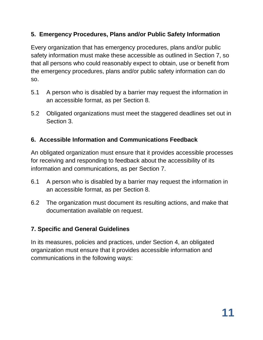### **5. Emergency Procedures, Plans and/or Public Safety Information**

Every organization that has emergency procedures, plans and/or public safety information must make these accessible as outlined in Section 7, so that all persons who could reasonably expect to obtain, use or benefit from the emergency procedures, plans and/or public safety information can do so.

- 5.1 A person who is disabled by a barrier may request the information in an accessible format, as per Section 8.
- 5.2 Obligated organizations must meet the staggered deadlines set out in Section 3.

#### **6. Accessible Information and Communications Feedback**

An obligated organization must ensure that it provides accessible processes for receiving and responding to feedback about the accessibility of its information and communications, as per Section 7.

- 6.1 A person who is disabled by a barrier may request the information in an accessible format, as per Section 8.
- 6.2 The organization must document its resulting actions, and make that documentation available on request.

#### **7. Specific and General Guidelines**

In its measures, policies and practices, under Section 4, an obligated organization must ensure that it provides accessible information and communications in the following ways: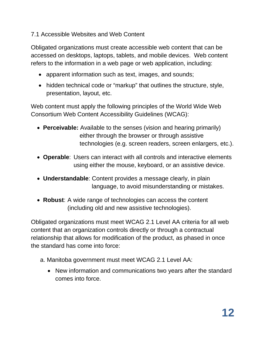#### 7.1 Accessible Websites and Web Content

Obligated organizations must create accessible web content that can be accessed on desktops, laptops, tablets, and mobile devices. Web content refers to the information in a web page or web application, including:

- apparent information such as text, images, and sounds;
- hidden technical code or "markup" that outlines the structure, style, presentation, layout, etc.

Web content must apply the following principles of the World Wide Web Consortium [Web Content Accessibility Guidelines \(WCAG\):](https://www.w3.org/WAI/standards-guidelines/wcag/)

- **[Perceivable:](https://webaim.org/articles/pour/perceivable)** Available to the senses (vision and hearing primarily) either through the browser or through assistive technologies (e.g. screen readers, screen enlargers, etc.).
- **[Operable](https://webaim.org/articles/pour/operable)**: Users can interact with all controls and interactive elements using either the mouse, keyboard, or an assistive device.
- **[Understandable](https://webaim.org/articles/pour/understandable)**: Content provides a message clearly, in plain language, to avoid misunderstanding or mistakes.
- **[Robust](https://webaim.org/articles/pour/robust)**: A wide range of technologies can access the content (including old and new assistive technologies).

Obligated organizations must meet WCAG 2.1 Level AA criteria for all web content that an organization controls directly or through a contractual relationship that allows for modification of the product, as phased in once the standard has come into force:

- a. Manitoba government must meet WCAG 2.1 Level AA:
	- New information and communications two years after the standard comes into force.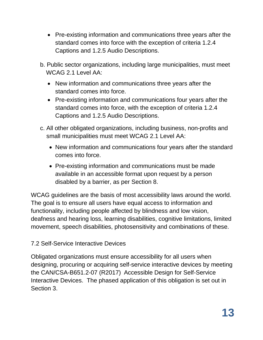- Pre-existing information and communications three years after the standard comes into force with the exception of criteria 1.2.4 Captions and 1.2.5 Audio Descriptions.
- b. Public sector organizations, including large municipalities, must meet WCAG 2.1 Level AA:
	- New information and communications three years after the standard comes into force.
	- Pre-existing information and communications four years after the standard comes into force, with the exception of criteria 1.2.4 Captions and 1.2.5 Audio Descriptions.
- c. All other obligated organizations, including business, non-profits and small municipalities must meet WCAG 2.1 Level AA:
	- New information and communications four years after the standard comes into force.
	- Pre-existing information and communications must be made available in an accessible format upon request by a person disabled by a barrier, as per Section 8.

WCAG guidelines are the basis of most accessibility laws around the world. The goal is to ensure all users have equal access to information and functionality, including people affected by blindness and low vision, deafness and hearing loss, learning disabilities, cognitive limitations, limited movement, speech disabilities, photosensitivity and combinations of these.

### 7.2 Self-Service Interactive Devices

Obligated organizations must ensure accessibility for all users when designing, procuring or acquiring self-service interactive devices by meeting the CAN/CSA-B651.2-07 (R2017) Accessible Design for Self-Service Interactive Devices. The phased application of this obligation is set out in Section 3.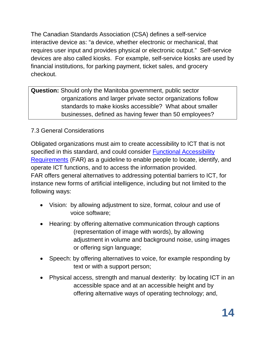The Canadian Standards Association (CSA) defines a self-service interactive device as: "a device, whether electronic or mechanical, that requires user input and provides physical or electronic output." Self-service devices are also called kiosks. For example, self-service kiosks are used by financial institutions, for parking payment, ticket sales, and grocery checkout.

**Question:** Should only the Manitoba government, public sector organizations and larger private sector organizations follow standards to make kiosks accessible? What about smaller businesses, defined as having fewer than 50 employees?

## 7.3 General Considerations

Obligated organizations must aim to create accessibility to ICT that is not specified in this standard, and could consider [Functional Accessibility](http://mandate376.standards.eu/standard/functional-statements)  [Requirements](http://mandate376.standards.eu/standard/functional-statements) (FAR) as a guideline to enable people to locate, identify, and operate ICT functions, and to access the information provided. FAR offers general alternatives to addressing potential barriers to ICT, for instance new forms of artificial intelligence, including but not limited to the following ways:

- Vision: by allowing adjustment to size, format, colour and use of voice software;
- Hearing: by offering alternative communication through captions (representation of image with words), by allowing adjustment in volume and background noise, using images or offering sign language;
- Speech: by offering alternatives to voice, for example responding by text or with a support person;
- Physical access, strength and manual dexterity: by locating ICT in an accessible space and at an accessible height and by offering alternative ways of operating technology; and,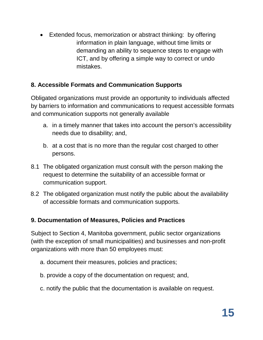• Extended focus, memorization or abstract thinking: by offering information in plain language, without time limits or demanding an ability to sequence steps to engage with ICT, and by offering a simple way to correct or undo mistakes.

## **8. Accessible Formats and Communication Supports**

Obligated organizations must provide an opportunity to individuals affected by barriers to information and communications to request accessible formats and communication supports not generally available

- a. in a timely manner that takes into account the person's accessibility needs due to disability; and,
- b. at a cost that is no more than the regular cost charged to other persons.
- 8.1 The obligated organization must consult with the person making the request to determine the suitability of an accessible format or communication support.
- 8.2 The obligated organization must notify the public about the availability of accessible formats and communication supports.

### **9. Documentation of Measures, Policies and Practices**

Subject to Section 4, Manitoba government, public sector organizations (with the exception of small municipalities) and businesses and non-profit organizations with more than 50 employees must:

- a. document their measures, policies and practices;
- b. provide a copy of the documentation on request; and,
- c. notify the public that the documentation is available on request.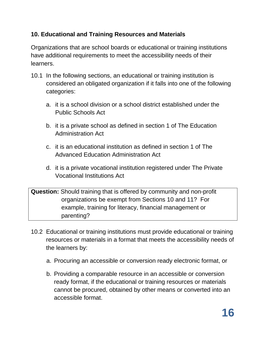## **10. Educational and Training Resources and Materials**

Organizations that are school boards or educational or training institutions have additional requirements to meet the accessibility needs of their learners.

- 10.1 In the following sections, an educational or training institution is considered an obligated organization if it falls into one of the following categories:
	- a. it is a school division or a school district established under the Public Schools Act
	- b. it is a private school as defined in section 1 of The Education Administration Act
	- c. it is an educational institution as defined in section 1 of The Advanced Education Administration Act
	- d. it is a private vocational institution registered under The Private Vocational Institutions Act

**Question:** Should training that is offered by community and non-profit organizations be exempt from Sections 10 and 11? For example, training for literacy, financial management or parenting?

- 10.2 Educational or training institutions must provide educational or training resources or materials in a format that meets the accessibility needs of the learners by:
	- a. Procuring an accessible or conversion ready electronic format, or
	- b. Providing a comparable resource in an accessible or conversion ready format, if the educational or training resources or materials cannot be procured, obtained by other means or converted into an accessible format.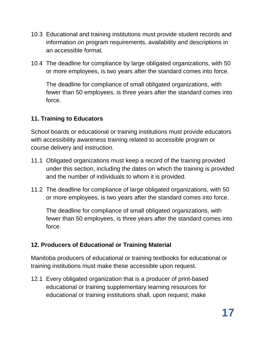- 10.3 Educational and training institutions must provide student records and information on program requirements, availability and descriptions in an accessible format.
- 10.4 The deadline for compliance by large obligated organizations, with 50 or more employees, is two years after the standard comes into force.

The deadline for compliance of small obligated organizations, with fewer than 50 employees, is three years after the standard comes into force.

## **11. Training to Educators**

School boards or educational or training institutions must provide educators with accessibility awareness training related to accessible program or course delivery and instruction.

- 11.1 Obligated organizations must keep a record of the training provided under this section, including the dates on which the training is provided and the number of individuals to whom it is provided.
- 11.2 The deadline for compliance of large obligated organizations, with 50 or more employees, is two years after the standard comes into force.

The deadline for compliance of small obligated organizations, with fewer than 50 employees, is three years after the standard comes into force.

### **12. Producers of Educational or Training Material**

Manitoba producers of educational or training textbooks for educational or training institutions must make these accessible upon request.

12.1 Every obligated organization that is a producer of print-based educational or training supplementary learning resources for educational or training institutions shall, upon request, make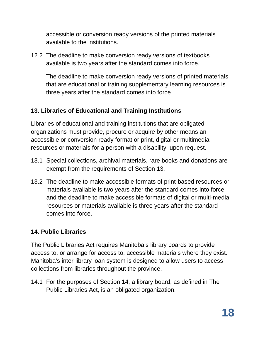accessible or conversion ready versions of the printed materials available to the institutions.

12.2 The deadline to make conversion ready versions of textbooks available is two years after the standard comes into force.

The deadline to make conversion ready versions of printed materials that are educational or training supplementary learning resources is three years after the standard comes into force.

### **13. Libraries of Educational and Training Institutions**

Libraries of educational and training institutions that are obligated organizations must provide, procure or acquire by other means an accessible or conversion ready format or print, digital or multimedia resources or materials for a person with a disability, upon request.

- 13.1 Special collections, archival materials, rare books and donations are exempt from the requirements of Section 13.
- 13.2 The deadline to make accessible formats of print-based resources or materials available is two years after the standard comes into force, and the deadline to make accessible formats of digital or multi-media resources or materials available is three years after the standard comes into force.

### **14. Public Libraries**

The Public Libraries Act requires Manitoba's library boards to provide access to, or arrange for access to, accessible materials where they exist. Manitoba's inter-library loan system is designed to allow users to access collections from libraries throughout the province.

14.1 For the purposes of Section 14, a library board, as defined in The Public Libraries Act, is an obligated organization.